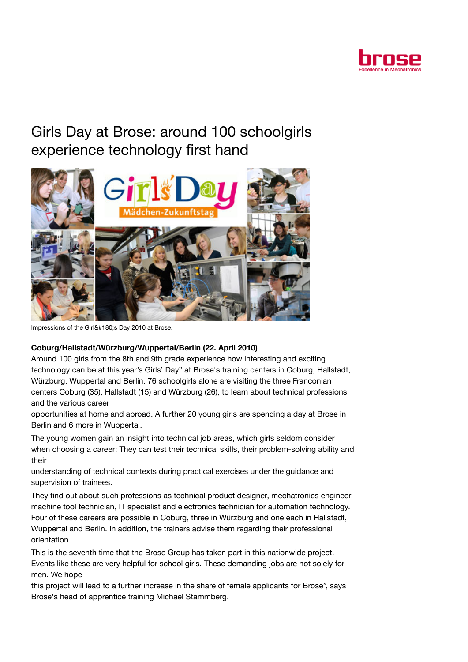

## Girls Day at Brose: around 100 schoolgirls experience technology first hand



Impressions of the Girl´s Day 2010 at Brose.

## Coburg/Hallstadt/Würzburg/Wuppertal/Berlin (22. April 2010)

Around 100 girls from the 8th and 9th grade experience how interesting and exciting technology can be at this year's Girls' Day" at Brose's training centers in Coburg, Hallstadt, Würzburg, Wuppertal and Berlin. 76 schoolgirls alone are visiting the three Franconian centers Coburg (35), Hallstadt (15) and Würzburg (26), to learn about technical professions and the various career

opportunities at home and abroad. A further 20 young girls are spending a day at Brose in Berlin and 6 more in Wuppertal.

The young women gain an insight into technical job areas, which girls seldom consider when choosing a career: They can test their technical skills, their problem-solving ability and their

understanding of technical contexts during practical exercises under the guidance and supervision of trainees.

They find out about such professions as technical product designer, mechatronics engineer, machine tool technician, IT specialist and electronics technician for automation technology. Four of these careers are possible in Coburg, three in Würzburg and one each in Hallstadt, Wuppertal and Berlin. In addition, the trainers advise them regarding their professional orientation.

This is the seventh time that the Brose Group has taken part in this nationwide project. Events like these are very helpful for school girls. These demanding jobs are not solely for men. We hope

this project will lead to a further increase in the share of female applicants for Brose", says Brose's head of apprentice training Michael Stammberg.